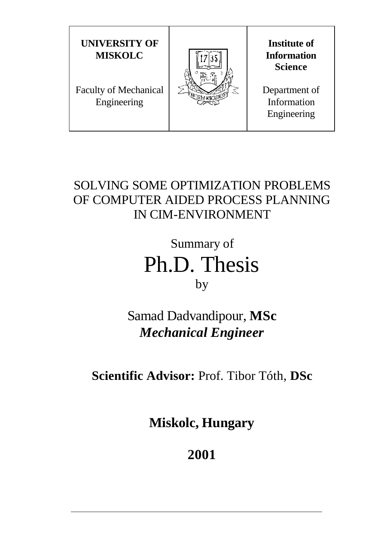

# SOLVING SOME OPTIMIZATION PROBLEMS OF COMPUTER AIDED PROCESS PLANNING IN CIM-ENVIRONMENT

Summary of Ph.D. Thesis by

Samad Dadvandipour, **MSc** *Mechanical Engineer*

**Scientific Advisor:** Prof. Tibor Tóth, **DSc**

**Miskolc, Hungary**

**2001**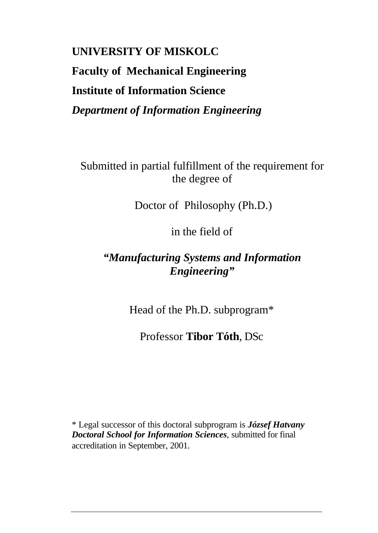# **UNIVERSITY OF MISKOLC Faculty of Mechanical Engineering Institute of Information Science** *Department of Information Engineering*

Submitted in partial fulfillment of the requirement for the degree of

Doctor of Philosophy (Ph.D.)

in the field of

# *"Manufacturing Systems and Information Engineering"*

Head of the Ph.D. subprogram\*

Professor **Tibor Tóth**, DSc

\* Legal successor of this doctoral subprogram is *József Hatvany Doctoral School for Information Sciences,* submitted for final accreditation in September, 2001.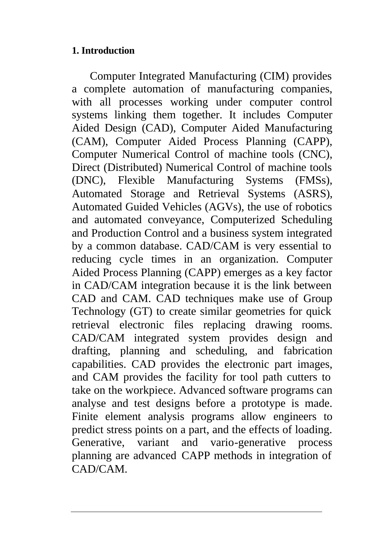## **1. Introduction**

Computer Integrated Manufacturing (CIM) provides a complete automation of manufacturing companies, with all processes working under computer control systems linking them together. It includes Computer Aided Design (CAD), Computer Aided Manufacturing (CAM), Computer Aided Process Planning (CAPP), Computer Numerical Control of machine tools (CNC), Direct (Distributed) Numerical Control of machine tools (DNC), Flexible Manufacturing Systems (FMSs), Automated Storage and Retrieval Systems (ASRS), Automated Guided Vehicles (AGVs), the use of robotics and automated conveyance, Computerized Scheduling and Production Control and a business system integrated by a common database. CAD/CAM is very essential to reducing cycle times in an organization. Computer Aided Process Planning (CAPP) emerges as a key factor in CAD/CAM integration because it is the link between CAD and CAM. CAD techniques make use of Group Technology (GT) to create similar geometries for quick retrieval electronic files replacing drawing rooms. CAD/CAM integrated system provides design and drafting, planning and scheduling, and fabrication capabilities. CAD provides the electronic part images, and CAM provides the facility for tool path cutters to take on the workpiece. Advanced software programs can analyse and test designs before a prototype is made. Finite element analysis programs allow engineers to predict stress points on a part, and the effects of loading. Generative, variant and vario-generative process planning are advanced CAPP methods in integration of CAD/CAM.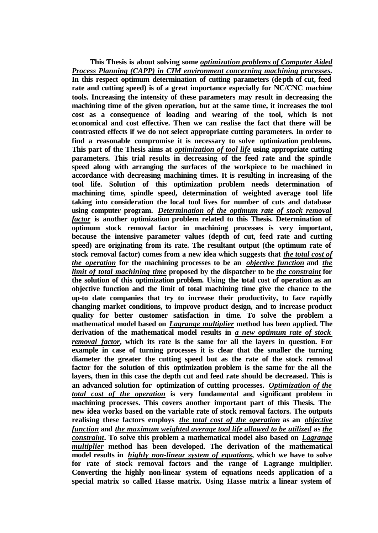**This Thesis is about solving some** *optimization problems of Computer Aided Process Planning (CAPP) in CIM environment concerning machining processes.* **In this respect optimum determination of cutting parameters (depth of cut, feed rate and cutting speed) is of a great importance especially for NC/CNC machine tools. Increasing the intensity of these parameters may result in decreasing the machining time of the given operation, but at the same time, it increases the tool cost as a consequence of loading and wearing of the tool, which is not economical and cost effective. Then we can realise the fact that there will be contrasted effects if we do not select appropriate cutting parameters. In order to find a reasonable compromise it is necessary to solve optimization problems. This part of the Thesis aims at** *optimization of tool life* **using appropriate cutting parameters. This trial results in decreasing of the feed rate and the spindle speed along with arranging the surfaces of the workpiece to be machined in accordance with decreasing machining times. It is resulting in increasing of the tool life. Solution of this optimization problem needs determination of machining time, spindle speed, determination of weighted average tool life taking into consideration the local tool lives for number of cuts and database using computer program.** *Determination of the optimum rate of stock removal factor* **is another optimization problem related to this Thesis. Determination of optimum stock removal factor in machining processes is very important, because the intensive parameter values (depth of cut, feed rate and cutting speed) are originating from its rate. The resultant output (the optimum rate of stock removal factor) comes from a new idea which suggests that** *the total cost of the operation* **for the machining processes to be an** *objective function* **and** *the limit of total machining time* **proposed by the dispatcher to be** *the constraint* **for the solution of this optimization problem. Using the total cost of operation as an objective function and the limit of total machining time give the chance to the up-to date companies that try to increase their productivity, to face rapidly changing market conditions, to improve product design, and to increase product quality for better customer satisfaction in time. To solve the problem a mathematical model based on** *Lagrange multiplier* **method has been applied. The derivation of the mathematical model results in** *a new optimum rate of stock removal factor***, which its rate is the same for all the layers in question. For example in case of turning processes it is clear that the smaller the turning diameter the greater the cutting speed but as the rate of the stock removal factor for the solution of this optimization problem is the same for the all the layers, then in this case the depth cut and feed rate should be decreased. This is an advanced solution for optimization of cutting processes.** *Optimization of the total cost of the operation* **is very fundamental and significant problem in machining processes. This covers another important part of this Thesis. The new idea works based on the variable rate of stock removal factors. The outputs realising these factors employs** *the total cost of the operation* **as an** *objective function* **and** *the maximum weighted average tool life allowed to be utilized* **as** *the constraint***. To solve this problem a mathematical model also based on** *Lagrange multiplier* **method has been developed. The derivation of the mathematical model results in** *highly non-linear system of equations***, which we have to solve for rate of stock removal factors and the range of Lagrange multiplier. Converting the highly non-linear system of equations needs application of a special matrix so called Hasse matrix. Using Hasse matrix a linear system of**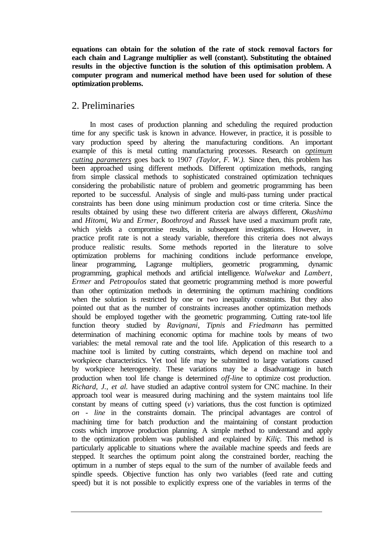**equations can obtain for the solution of the rate of stock removal factors for each chain and Lagrange multiplier as well (constant). Substituting the obtained results in the objective function is the solution of this optimisation problem. A computer program and numerical method have been used for solution of these optimization problems.**

### 2. Preliminaries

In most cases of production planning and scheduling the required production time for any specific task is known in advance. However, in practice, it is possible to vary production speed by altering the manufacturing conditions. An important example of this is metal cutting manufacturing processes. Research on *optimum cutting parameters* goes back to 1907 *(Taylor, F. W.).* Since then, this problem has been approached using different methods. Different optimization methods, ranging from simple classical methods to sophisticated constrained optimization techniques considering the probabilistic nature of problem and geometric programming has been reported to be successful. Analysis of single and multi-pass turning under practical constraints has been done using minimum production cost or time criteria. Since the results obtained by using these two different criteria are always different, *Okushima* and *Hitomi*, *Wu* and *Ermer*, *Boothroyd* and *Russek* have used a maximum profit rate, which yields a compromise results, in subsequent investigations*.* However, in practice profit rate is not a steady variable, therefore this criteria does not always produce realistic results. Some methods reported in the literature to solve optimization problems for machining conditions include performance envelope, linear programming, Lagrange multipliers, geometric programming, dynamic programming, graphical methods and artificial intelligence. *Walwekar* and *Lambert*, *Ermer* and *Petropoulos* stated that geometric programming method is more powerful than other optimization methods in determining the optimum machining conditions when the solution is restricted by one or two inequality constraints. But they also pointed out that as the number of constraints increases another optimization methods should be employed together with the geometric programming. Cutting rate-tool life function theory studied by *Ravignani*, *Tipnis* and *Friedmann* has permitted determination of machining economic optima for machine tools by means of two variables: the metal removal rate and the tool life. Application of this research to a machine tool is limited by cutting constraints, which depend on machine tool and workpiece characteristics. Yet tool life may be submitted to large variations caused by workpiece heterogeneity. These variations may be a disadvantage in batch production when tool life change is determined *off-line* to optimize cost production. *Richard, J., et al.* have studied an adaptive control system for CNC machine. In their approach tool wear is measured during machining and the system maintains tool life constant by means of cutting speed  $(v)$  variations, thus the cost function is optimized *on - line* in the constraints domain. The principal advantages are control of machining time for batch production and the maintaining of constant production costs which improve production planning. A simple method to understand and apply to the optimization problem was published and explained by *Kiliç.* This method is particularly applicable to situations where the available machine speeds and feeds are stepped. It searches the optimum point along the constrained border, reaching the optimum in a number of steps equal to the sum of the number of available feeds and spindle speeds. Objective function has only two variables (feed rate and cutting speed) but it is not possible to explicitly express one of the variables in terms of the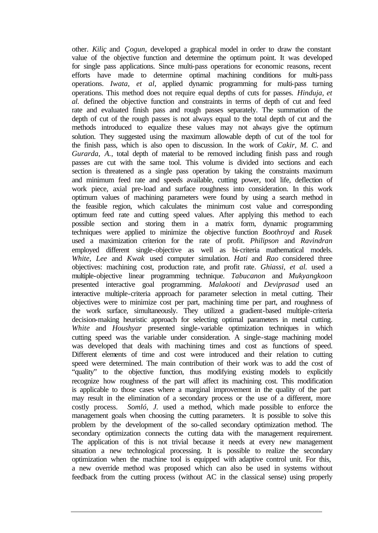other. *Kiliç* and *Çogun*, developed a graphical model in order to draw the constant value of the objective function and determine the optimum point. It was developed for single pass applications. Since multi-pass operations for economic reasons, recent efforts have made to determine optimal machining conditions for multi-pass operations. *Iwata, et al*, applied dynamic programming for multi-pass turning operations. This method does not require equal depths of cuts for passes. *Hinduja, et al.* defined the objective function and constraints in terms of depth of cut and feed rate and evaluated finish pass and rough passes separately. The summation of the depth of cut of the rough passes is not always equal to the total depth of cut and the methods introduced to equalize these values may not always give the optimum solution. They suggested using the maximum allowable depth of cut of the tool for the finish pass, which is also open to discussion. In the work of *Cakir, M. C.* and *Gurarda*, *A.*, total depth of material to be removed including finish pass and rough passes are cut with the same tool. This volume is divided into sections and each section is threatened as a single pass operation by taking the constraints maximum and minimum feed rate and speeds available, cutting power, tool life, deflection of work piece, axial pre-load and surface roughness into consideration. In this work optimum values of machining parameters were found by using a search method in the feasible region, which calculates the minimum cost value and corresponding optimum feed rate and cutting speed values. After applying this method to each possible section and storing them in a matrix form, dynamic programming techniques were applied to minimize the objective function *Boothroyd* and *Rusek* used a maximization criterion for the rate of profit. *Philipson* and *Ravindran* employed different single-objective as well as bi-criteria mathematical models. *White, Lee* and *Kwak* used computer simulation. *Hati* and *Rao* considered three objectives: machining cost, production rate, and profit rate. *Ghiassi, et al.* used a multiple-objective linear programming technique. *Tabucanon* and *Mukyangkoon* presented interactive goal programming. *Malakooti* and *Deviprasad* used an interactive multiple-criteria approach for parameter selection in metal cutting. Their objectives were to minimize cost per part, machining time per part, and roughness of the work surface, simultaneously. They utilized a gradient-based multiple-criteria decision-making heuristic approach for selecting optimal parameters in metal cutting. *White* and *Houshyar* presented single-variable optimization techniques in which cutting speed was the variable under consideration. A single-stage machining model was developed that deals with machining times and cost as functions of speed. Different elements of time and cost were introduced and their relation to cutting speed were determined. The main contribution of their work was to add the cost of "quality" to the objective function, thus modifying existing models to explicitly recognize how roughness of the part will affect its machining cost. This modification is applicable to those cases where a marginal improvement in the quality of the part may result in the elimination of a secondary process or the use of a different, more costly process. *Somló, J.* used a method, which made possible to enforce the management goals when choosing the cutting parameters. It is possible to solve this problem by the development of the so-called secondary optimization method. The secondary optimization connects the cutting data with the management requirement. The application of this is not trivial because it needs at every new management situation a new technological processing. It is possible to realize the secondary optimization when the machine tool is equipped with adaptive control unit. For this, a new override method was proposed which can also be used in systems without feedback from the cutting process (without AC in the classical sense) using properly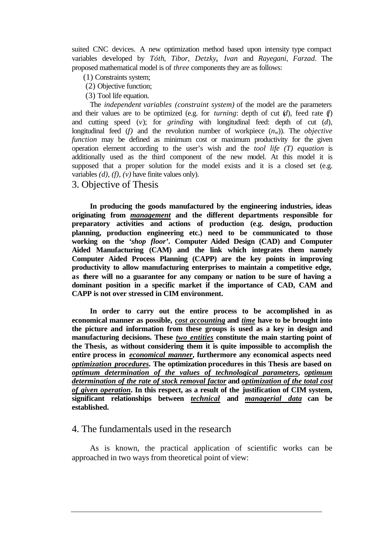suited CNC devices. A new optimization method based upon intensity type compact variables developed by *Tóth, Tibor, Detzky, Ivan* and *Rayegani*, *Farzad*. The proposed mathematical model is of *three* components they are as follows:

- (1) Constraints system;
- (2) Objective function;
- (3) Tool life equation.

The *independent variables (constraint system)* of the model are the parameters and their values are to be optimized (e.g. for *turning*: depth of cut (*d*), feed rate (*f*) and cutting speed (*v*); for *grinding* with longitudinal feed: depth of cut (*d*), longitudinal feed (*f*) and the revolution number of workpiece  $(n_w)$ ). The *objective function* may be defined as minimum cost or maximum productivity for the given operation element according to the user's wish and the *tool life (T) equation* is additionally used as the third component of the new model. At this model it is supposed that a proper solution for the model exists and it is a closed set (e.g. variables *(d), (f), (v)* have finite values only).

3. Objective of Thesis

**In producing the goods manufactured by the engineering industries, ideas originating from** *management* **and the different departments responsible for preparatory activities and actions of production (e.g. design, production planning, production engineering etc.) need to be communicated to those working on the** *'shop floor'***. Computer Aided Design (CAD) and Computer Aided Manufacturing (CAM) and the link which integrates them namely Computer Aided Process Planning (CAPP) are the key points in improving productivity to allow manufacturing enterprises to maintain a competitive edge, as there will no a guarantee for any company or nation to be sure of having a dominant position in a specific market if the importance of CAD, CAM and CAPP is not over stressed in CIM environment.** 

**In order to carry out the entire process to be accomplished in as economical manner as possible,** *cost accounting* **and** *time* **have to be brought into the picture and information from these groups is used as a key in design and manufacturing decisions. These** *two entities* **constitute the main starting point of the Thesis, as without considering them it is quite impossible to accomplish the entire process in** *economical manner***, furthermore any economical aspects need**  *optimization procedures***. The optimization procedures in this Thesis are based on**  *optimum determination of the values of technological parameters***,** *optimum determination of the rate of stock removal factor* **and** *optimization of the total cost of given operation***. In this respect, as a result of the justification of CIM system, significant relationships between** *technical* **and** *managerial data* **can be established.**

#### 4. The fundamentals used in the research

As is known, the practical application of scientific works can be approached in two ways from theoretical point of view: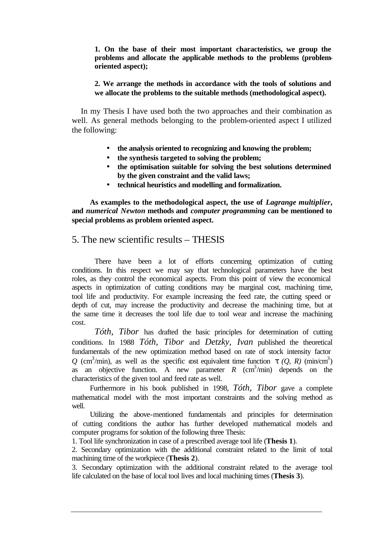**1. On the base of their most important characteristics, we group the problems and allocate the applicable methods to the problems (problemoriented aspect);**

#### **2. We arrange the methods in accordance with the tools of solutions and we allocate the problems to the suitable methods (methodological aspect).**

In my Thesis I have used both the two approaches and their combination as well. As general methods belonging to the problem-oriented aspect I utilized the following:

- **the analysis oriented to recognizing and knowing the problem;**
- **the synthesis targeted to solving the problem;**
- **the optimisation suitable for solving the best solutions determined by the given constraint and the valid laws;**
- **technical heuristics and modelling and formalization.**

**As examples to the methodological aspect, the use of** *Lagrange multiplier***, and** *numerical Newton* **methods and** *computer programming* **can be mentioned to special problems as problem oriented aspect.**

#### 5. The new scientific results – THESIS

There have been a lot of efforts concerning optimization of cutting conditions. In this respect we may say that technological parameters have the best roles, as they control the economical aspects. From this point of view the economical aspects in optimization of cutting conditions may be marginal cost, machining time, tool life and productivity. For example increasing the feed rate, the cutting speed or depth of cut, may increase the productivity and decrease the machining time, but at the same time it decreases the tool life due to tool wear and increase the machining cost.

*Tóth, Tibor* has drafted the basic principles for determination of cutting conditions. In 1988 *Tóth, Tibor* and *Detzky, Ivan* published the theoretical fundamentals of the new optimization method based on rate of stock intensity factor Q (cm<sup>3</sup>/min), as well as the specific cost equivalent time function *t* (Q, R) (min/cm<sup>3</sup>) as an objective function. A new parameter  $R$   $(\text{cm}^3/\text{min})$  depends on the characteristics of the given tool and feed rate as well.

Furthermore in his book published in 1998, *Tóth, Tibor* gave a complete mathematical model with the most important constraints and the solving method as well.

Utilizing the above-mentioned fundamentals and principles for determination of cutting conditions the author has further developed mathematical models and computer programs for solution of the following three Thesis:

1. Tool life synchronization in case of a prescribed average tool life (**Thesis 1**).

2. Secondary optimization with the additional constraint related to the limit of total machining time of the workpiece (**Thesis 2**).

3. Secondary optimization with the additional constraint related to the average tool life calculated on the base of local tool lives and local machining times (**Thesis 3**).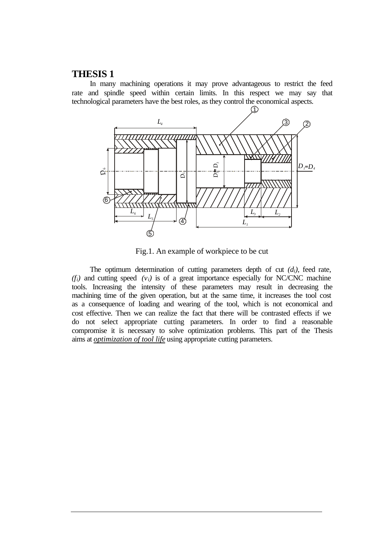#### **THESIS 1**

In many machining operations it may prove advantageous to restrict the feed rate and spindle speed within certain limits. In this respect we may say that technological parameters have the best roles, as they control the economical aspects.



Fig.1. An example of workpiece to be cut

The optimum determination of cutting parameters depth of cut  $(d_i)$ , feed rate,  $(f_i)$  and cutting speed  $(v_i)$  is of a great importance especially for NC/CNC machine tools. Increasing the intensity of these parameters may result in decreasing the machining time of the given operation, but at the same time, it increases the tool cost as a consequence of loading and wearing of the tool, which is not economical and cost effective. Then we can realize the fact that there will be contrasted effects if we do not select appropriate cutting parameters. In order to find a reasonable compromise it is necessary to solve optimization problems. This part of the Thesis aims at *optimization of tool life* using appropriate cutting parameters.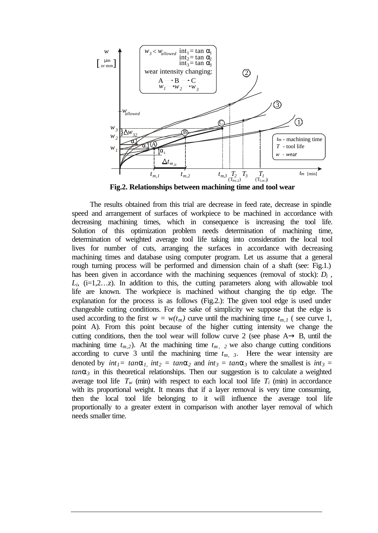

**Fig.2. Relationships between machining time and tool wear**

The results obtained from this trial are decrease in feed rate, decrease in spindle speed and arrangement of surfaces of workpiece to be machined in accordance with decreasing machining times, which in consequence is increasing the tool life. Solution of this optimization problem needs determination of machining time, determination of weighted average tool life taking into consideration the local tool lives for number of cuts, arranging the surfaces in accordance with decreasing machining times and database using computer program. Let us assume that a general rough turning process will be performed and dimension chain of a shaft (see: Fig.1.) has been given in accordance with the machining sequences (removal of stock):  $D_i$ ,  $L_i$ ,  $(i=1,2...z)$ . In addition to this, the cutting parameters along with allowable tool life are known. The workpiece is machined without changing the tip edge. The explanation for the process is as follows (Fig.2.): The given tool edge is used under changeable cutting conditions. For the sake of simplicity we suppose that the edge is used according to the first  $w = w(t_m)$  curve until the machining time  $t_{m,l}$  (see curve 1, point A). From this point because of the higher cutting intensity we change the cutting conditions, then the tool wear will follow curve 2 (see phase  $A \rightarrow B$ , until the machining time  $t_{m,2}$ ). At the machining time  $t_{m,2}$  we also change cutting conditions according to curve 3 until the machining time  $t_{m}$ ,  $\beta$ . Here the wear intensity are denoted by  $int_1 = tan a_1$ ,  $int_2 = tan a_2$  and  $int_3 = tan a_3$  where the smallest is  $int_3 =$  $tan\mathbf{a}_3$  in this theoretical relationships. Then our suggestion is to calculate a weighted average tool life  $T_w$  (min) with respect to each local tool life  $T_i$  (min) in accordance with its proportional weight. It means that if a layer removal is very time consuming, then the local tool life belonging to it will influence the average tool life proportionally to a greater extent in comparison with another layer removal of which needs smaller time.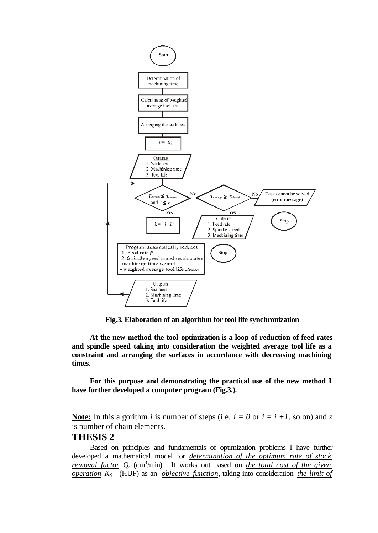

**Fig.3. Elaboration of an algorithm for tool life synchronization**

**At the new method the tool optimization is a loop of reduction of feed rates and spindle speed taking into consideration the weighted average tool life as a constraint and arranging the surfaces in accordance with decreasing machining times.** 

**For this purpose and demonstrating the practical use of the new method I have further developed a computer program (Fig.3.).**

**Note:** In this algorithm *i* is number of steps (i.e.  $i = 0$  or  $i = i +1$ , so on) and *z* is number of chain elements.

#### **THESIS 2**

Based on principles and fundamentals of optimization problems I have further developed a mathematical model for *determination of the optimum rate of stock removal factor*  $Q_i$  *(cm<sup>3</sup>/min).* It works out based on *the total cost of the given operation KS* (HUF) as an *objective function*, taking into consideration *the limit of*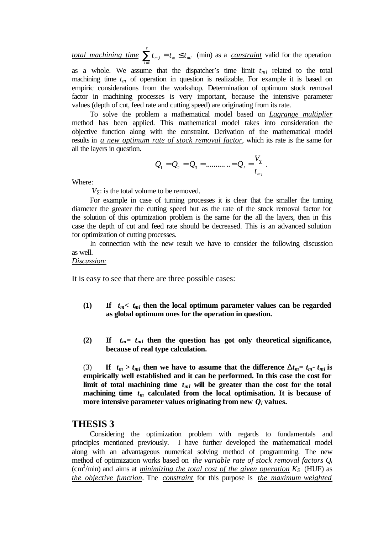*total machining time*  $\sum_{i=1}^{z} t_{m,i} = t_m \leq$  $\sum_{i=1}^{n} t_{m,i} = t_m \leq t_{ml}$  (min) as a *constraint* valid for the operation

as a whole. We assume that the dispatcher's time limit  $t_{ml}$  related to the total machining time  $t_m$  of operation in question is realizable. For example it is based on empiric considerations from the workshop. Determination of optimum stock removal factor in machining processes is very important, because the intensive parameter values (depth of cut, feed rate and cutting speed) are originating from its rate.

To solve the problem a mathematical model based on *Lagrange multiplier* method has been applied. This mathematical model takes into consideration the objective function along with the constraint. Derivation of the mathematical model results in *a new optimum rate of stock removal factor*, which its rate is the same for all the layers in question.

$$
Q_1 = Q_2 = Q_3 = \dots \dots \dots = Q_i = \frac{V_{\Sigma}}{t_{m_i}}
$$
.

Where:

*VS*: is the total volume to be removed.

For example in case of turning processes it is clear that the smaller the turning diameter the greater the cutting speed but as the rate of the stock removal factor for the solution of this optimization problem is the same for the all the layers, then in this case the depth of cut and feed rate should be decreased. This is an advanced solution for optimization of cutting processes.

In connection with the new result we have to consider the following discussion as well.

#### *Discussion:*

It is easy to see that there are three possible cases:

- (1) If  $t_m < t_{ml}$  then the local optimum parameter values can be regarded **as global optimum ones for the operation in question.**
- (2) If  $t_m = t_{ml}$  then the question has got only theoretical significance, **because of real type calculation.**

(3) If  $t_m > t_{ml}$  then we have to assume that the difference  $\mathbf{D}t_m = t_m - t_{ml}$  is **empirically well established and it can be performed. In this case the cost for limit** of total machining time  $t_{ml}$  will be greater than the cost for the total machining time  $t_m$  calculated from the local optimisation. It is because of **more intensive parameter values originating from new** *Q<sup>i</sup>* **values.**

#### **THESIS 3**

Considering the optimization problem with regards to fundamentals and principles mentioned previously. I have further developed the mathematical model along with an advantageous numerical solving method of programming. The new method of optimization works based on *the variable rate of stock removal factors Q<sup>i</sup>* (cm<sup>3</sup>/min) and aims at *minimizing the total cost of the given operation*  $K_s$  (HUF) as *the objective function*. The *constraint* for this purpose is *the maximum weighted*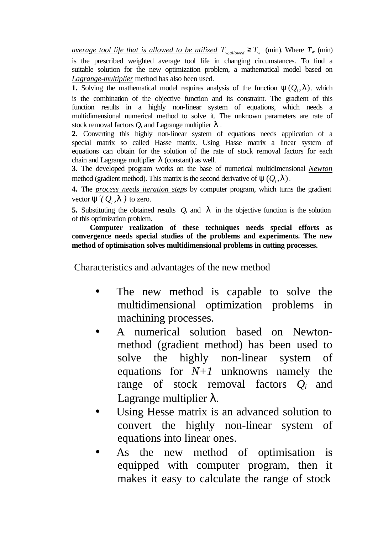*average tool life that is allowed to be utilized*  $T_{w,allowed} \geq T_w$  (min). Where  $T_w$  (min) is the prescribed weighted average tool life in changing circumstances. To find a suitable solution for the new optimization problem, a mathematical model based on *Lagrange-multiplier* method has also been used.

**1.** Solving the mathematical model requires analysis of the function  $y(Q_i, l)$ , which is the combination of the objective function and its constraint. The gradient of this function results in a highly non-linear system of equations, which needs a multidimensional numerical method to solve it. The unknown parameters are rate of stock removal factors *Q<sup>i</sup>* and Lagrange multiplier *l* .

**2.** Converting this highly non-linear system of equations needs application of a special matrix so called Hasse matrix. Using Hasse matrix a linear system of equations can obtain for the solution of the rate of stock removal factors for each chain and Lagrange multiplier  $\bf{l}$  (constant) as well.

**3.** The developed program works on the base of numerical multidimensional *Newton* method (gradient method). This matrix is the second derivative of  $\mathbf{y}(Q_i, \mathbf{l})$ .

**4.** The *process needs iteration step*s by computer program, which turns the gradient vector  $\mathbf{y}'(Q_i, \mathbf{l})$  to zero.

**5.** Substituting the obtained results  $Q_i$  and  $I$  in the objective function is the solution of this optimization problem.

**Computer realization of these techniques needs special efforts as convergence needs special studies of the problems and experiments. The new method of optimisation solves multidimensional problems in cutting processes.** 

Characteristics and advantages of the new method

- The new method is capable to solve the multidimensional optimization problems in machining processes.
- A numerical solution based on Newtonmethod (gradient method) has been used to solve the highly non-linear system of equations for *N+1* unknowns namely the range of stock removal factors *Qi* and Lagrange multiplier λ*.*
- Using Hesse matrix is an advanced solution to convert the highly non-linear system of equations into linear ones.
- As the new method of optimisation is equipped with computer program, then it makes it easy to calculate the range of stock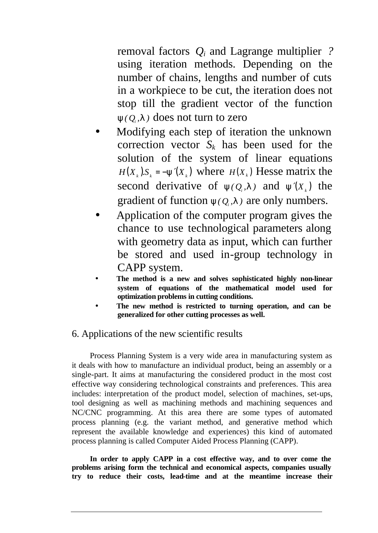removal factors *Qi* and Lagrange multiplier *?* using iteration methods. Depending on the number of chains, lengths and number of cuts in a workpiece to be cut, the iteration does not stop till the gradient vector of the function  $\mathbf{y}(Q, I)$  does not turn to zero

- Modifying each step of iteration the unknown correction vector  $S_k$  has been used for the solution of the system of linear equations  $H(X_k)S_k = -y'(X_k)$  where  $H(X_k)$  Hesse matrix the second derivative of  $y(Q_i, I)$  and  $y'(X_i)$  the gradient of function  $y(Q_i, I)$  are only numbers.
- Application of the computer program gives the chance to use technological parameters along with geometry data as input, which can further be stored and used in-group technology in CAPP system.
- **The method is a new and solves sophisticated highly non-linear system of equations of the mathematical model used for optimization problems in cutting conditions.**
- **The new method is restricted to turning operation, and can be generalized for other cutting processes as well.**

## 6. Applications of the new scientific results

Process Planning System is a very wide area in manufacturing system as it deals with how to manufacture an individual product, being an assembly or a single-part. It aims at manufacturing the considered product in the most cost effective way considering technological constraints and preferences. This area includes: interpretation of the product model, selection of machines, set-ups, tool designing as well as machining methods and machining sequences and NC/CNC programming. At this area there are some types of automated process planning (e.g. the variant method, and generative method which represent the available knowledge and experiences) this kind of automated process planning is called Computer Aided Process Planning (CAPP).

**In order to apply CAPP in a cost effective way, and to over come the problems arising form the technical and economical aspects, companies usually try to reduce their costs, lead-time and at the meantime increase their**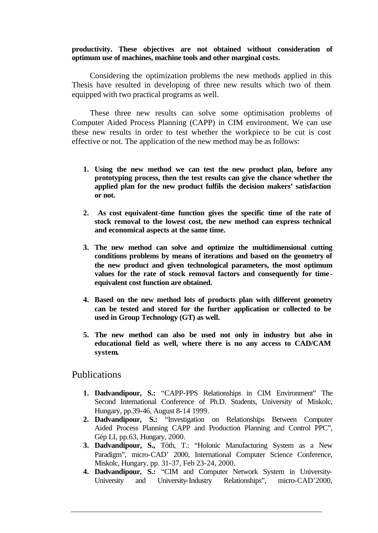#### **productivity. These objectives are not obtained without consideration of optimum use of machines, machine tools and other marginal costs.**

Considering the optimization problems the new methods applied in this Thesis have resulted in developing of three new results which two of them equipped with two practical programs as well.

These three new results can solve some optimisation problems of Computer Aided Process Planning (CAPP) in CIM environment. We can use these new results in order to test whether the workpiece to be cut is cost effective or not. The application of the new method may be as follows:

- **1. Using the new method we can test the new product plan, before any prototyping process, then the test results can give the chance whether the applied plan for the new product fulfils the decision makers' satisfaction or not.**
- **2. As cost equivalent-time function gives the specific time of the rate of stock removal to the lowest cost, the new method can express technical and economical aspects at the same time.**
- **3. The new method can solve and optimize the multidimensional cutting conditions problems by means of iterations and based on the geometry of the new product and given technological parameters, the most optimum values for the rate of stock removal factors and consequently for timeequivalent cost function are obtained.**
- **4. Based on the new method lots of products plan with different geometry can be tested and stored for the further application or collected to be used in Group Technology (GT) as well.**
- **5. The new method can also be used not only in industry but also in educational field as well, where there is no any access to CAD/CAM system.**

#### Publications

- **1. Dadvandipour, S.:** "CAPP-PPS Relationships in CIM Environment" The Second International Conference of Ph.D. Students, University of Miskolc, Hungary, pp.39-46, August 8-14 1999.
- **2. Dadvandipour, S.:** "Investigation on Relationships Between Computer Aided Process Planning CAPP and Production Planning and Control PPC", Gép LI*,* pp.63, Hungary, 2000.
- **3. Dadvandipour, S.,** Tóth, T.: "Holonic Manufacturing System as a New Paradigm", micro-CAD' 2000, International Computer Science Conference, Miskolc, Hungary, pp. 31-37, Feb 23-24, 2000.
- **4. Dadvandipour, S.:** "CIM and Computer Network System in University-University and University-Industry Relationships", micro-CAD'2000,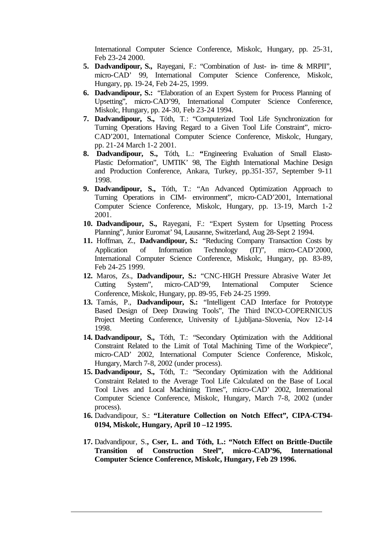International Computer Science Conference, Miskolc, Hungary, pp. 25-31, Feb 23-24 2000.

- **5. Dadvandipour, S.,** Rayegani, F.: "Combination of Just- in- time & MRPII", micro-CAD' 99, International Computer Science Conference, Miskolc, Hungary, pp. 19-24, Feb 24-25, 1999.
- **6. Dadvandipour, S.:** "Elaboration of an Expert System for Process Planning of Upsetting", micro-CAD'99, International Computer Science Conference, Miskolc, Hungary, pp. 24-30, Feb 23-24 1994.
- **7. Dadvandipour, S.,** Tóth, T.: "Computerized Tool Life Synchronization for Turning Operations Having Regard to a Given Tool Life Constraint", micro-CAD'2001, International Computer Science Conference, Miskolc, Hungary, pp. 21-24 March 1-2 2001.
- **8. Dadvandipour, S.,** Tóth, L.: **"**Engineering Evaluation of Small Elasto-Plastic Deformation", UMTIK' 98, The Eighth International Machine Design and Production Conference, Ankara, Turkey, pp.351-357, September 9-11 1998.
- **9. Dadvandipour, S.,** Tóth, T.: "An Advanced Optimization Approach to Turning Operations in CIM- environment", micro-CAD'2001, International Computer Science Conference, Miskolc, Hungary, pp. 13-19, March 1-2 2001.
- **10. Dadvandipour, S.,** Rayegani, F.: "Expert System for Upsetting Process Planning", Junior Euromat' 94, Lausanne, Switzerland, Aug 28-Sept 2 1994.
- **11.** Hoffman, Z., **Dadvandipour, S.:** "Reducing Company Transaction Costs by Application of Information Technology (IT)", micro-CAD'2000, International Computer Science Conference, Miskolc, Hungary, pp. 83-89, Feb 24-25 1999.
- **12.** Maros, Zs., **Dadvandipour, S.:** "CNC-HIGH Pressure Abrasive Water Jet Cutting System", micro-CAD'99, International Computer Science Conference, Miskolc, Hungary, pp. 89-95, Feb 24-25 1999.
- **13.** Tamás, P., **Dadvandipour, S.:** "Intelligent CAD Interface for Prototype Based Design of Deep Drawing Tools", The Third INCO-COPERNICUS Project Meeting Conference, University of Ljubljana-Slovenia, Nov 12-14 1998.
- **14. Dadvandipour, S.,** Tóth, T.: "Secondary Optimization with the Additional Constraint Related to the Limit of Total Machining Time of the Workpiece", micro-CAD' 2002, International Computer Science Conference, Miskolc, Hungary, March 7-8, 2002 (under process).
- **15. Dadvandipour, S.,** Tóth, T.: "Secondary Optimization with the Additional Constraint Related to the Average Tool Life Calculated on the Base of Local Tool Lives and Local Machining Times", micro-CAD' 2002, International Computer Science Conference, Miskolc, Hungary, March 7-8, 2002 (under process).
- **16.** Dadvandipour, S.: **"Literature Collection on Notch Effect", CIPA-CT94- 0194, Miskolc, Hungary, April 10 –12 1995.**
- **17.** Dadvandipour, S.**, Cser, L. and Tóth, L.: "Notch Effect on Brittle-Ductile Transition of Construction Steel", micro-CAD'96, International Computer Science Conference, Miskolc, Hungary, Feb 29 1996.**